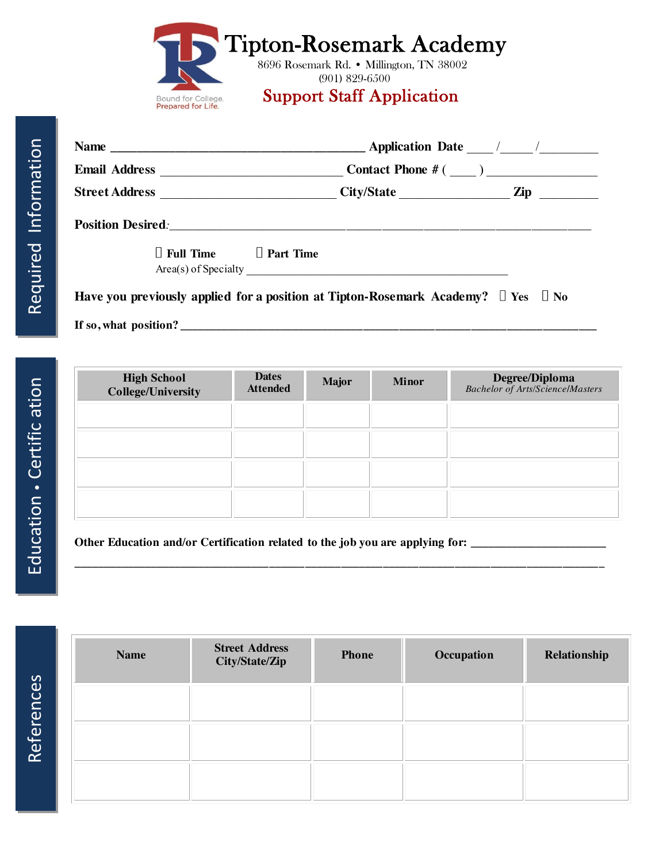|  | Tipton-Rosemark Academy |
|--|-------------------------|
|  |                         |

8696 Rosemark Rd. • Millington, TN 38002 (901) 829-6500

## Bound for College. Support Staff Application

|  | $\Box$ Full Time $\Box$ Part Time |  | Area(s) of Specialty                                                                        |  |  |
|--|-----------------------------------|--|---------------------------------------------------------------------------------------------|--|--|
|  |                                   |  | Have you previously applied for a position at Tipton-Rosemark Academy? $\Box$ Yes $\Box$ No |  |  |

**If so, what position? \_\_\_\_\_\_\_\_\_\_\_\_\_\_\_\_\_\_\_\_\_\_\_\_\_\_\_\_\_\_\_\_\_\_\_\_\_\_\_\_\_\_\_\_\_\_\_\_\_\_\_\_\_\_\_\_\_\_\_\_\_\_\_\_\_\_\_\_\_\_**

| <b>Dates</b><br><b>Attended</b> | <b>Major</b> | <b>Minor</b> | <b>Degree/Diploma</b><br>Bachelor of Arts/Science/Masters |
|---------------------------------|--------------|--------------|-----------------------------------------------------------|
|                                 |              |              |                                                           |
|                                 |              |              |                                                           |
|                                 |              |              |                                                           |
|                                 |              |              |                                                           |
|                                 |              |              |                                                           |

**\_\_\_\_\_\_\_\_\_\_\_\_\_\_\_\_\_\_\_\_\_\_\_\_\_\_\_\_\_\_\_\_\_\_\_\_\_\_\_\_\_\_\_\_\_\_\_\_\_\_\_\_\_\_\_\_\_\_\_\_\_\_\_\_\_\_\_\_\_\_\_\_\_\_\_\_\_\_\_\_\_\_\_\_\_\_\_\_\_**

**Other Education and/or Certification related to the job you are applying for: \_\_\_\_\_\_\_\_\_\_\_\_\_\_\_\_\_\_\_\_\_\_\_**

References References

| <b>Name</b> | <b>Street Address</b><br>City/State/Zip | <b>Phone</b> | Occupation | Relationship |
|-------------|-----------------------------------------|--------------|------------|--------------|
|             |                                         |              |            |              |
|             |                                         |              |            |              |
|             |                                         |              |            |              |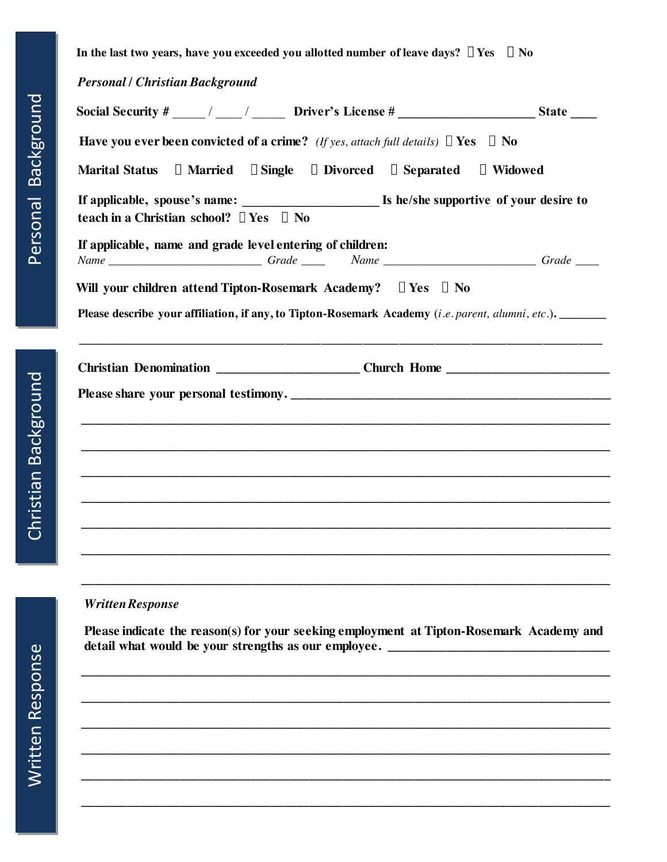I

In the last two years, have you exceeded you allotted number of leave days?  $\Box$  Yes  $\Box$  No

*Personal / Christian Background*

| <b>Have you ever been convicted of a crime?</b> (If yes, attach full details) $\Box$ Yes $\Box$ No                                                  |                |
|-----------------------------------------------------------------------------------------------------------------------------------------------------|----------------|
| $\Box$ Single $\Box$ Divorced $\Box$ Separated<br><b>□ Married</b><br><b>Marital Status</b>                                                         | $\Box$ Widowed |
| teach in a Christian school? $\Box$ Yes $\Box$ No                                                                                                   |                |
| If applicable, name and grade level entering of children:<br>Name ___________________________Grade __________Name _______________________Grade ____ |                |
| Will your children attend Tipton-Rosemark Academy?  U Yes U No                                                                                      |                |
| <b>Please describe your affiliation, if any, to Tipton-Rosemark Academy</b> ( <i>i.e. parent, alumni, etc.</i> ).                                   |                |
| <u> 1980 - Jan James James, Amerikaansk politiker (* 1905)</u>                                                                                      |                |
| Christian Denomination ________________________Church Home ______________________                                                                   |                |
|                                                                                                                                                     |                |
|                                                                                                                                                     |                |
|                                                                                                                                                     |                |
|                                                                                                                                                     |                |
|                                                                                                                                                     |                |
|                                                                                                                                                     |                |
|                                                                                                                                                     |                |
|                                                                                                                                                     |                |
|                                                                                                                                                     |                |

## *Written Response*

**Please indicate the reason(s) for your seeking employment at Tipton-Rosemark Academy and detail what would be your strengths as our employee. \_\_\_\_\_\_\_\_\_\_\_\_\_\_\_\_\_\_\_\_\_\_\_\_\_\_\_\_\_\_\_\_\_\_** 

 **\_\_\_\_\_\_\_\_\_\_\_\_\_\_\_\_\_\_\_\_\_\_\_\_\_\_\_\_\_\_\_\_\_\_\_\_\_\_\_\_\_\_\_\_\_\_\_\_\_\_\_\_\_\_\_\_\_\_\_\_\_\_\_\_\_\_\_\_\_\_\_\_\_\_\_\_\_\_\_\_\_**

 **\_\_\_\_\_\_\_\_\_\_\_\_\_\_\_\_\_\_\_\_\_\_\_\_\_\_\_\_\_\_\_\_\_\_\_\_\_\_\_\_\_\_\_\_\_\_\_\_\_\_\_\_\_\_\_\_\_\_\_\_\_\_\_\_\_\_\_\_\_\_\_\_\_\_\_\_\_\_\_\_\_**

 **\_\_\_\_\_\_\_\_\_\_\_\_\_\_\_\_\_\_\_\_\_\_\_\_\_\_\_\_\_\_\_\_\_\_\_\_\_\_\_\_\_\_\_\_\_\_\_\_\_\_\_\_\_\_\_\_\_\_\_\_\_\_\_\_\_\_\_\_\_\_\_\_\_\_\_\_\_\_\_\_\_**

 **\_\_\_\_\_\_\_\_\_\_\_\_\_\_\_\_\_\_\_\_\_\_\_\_\_\_\_\_\_\_\_\_\_\_\_\_\_\_\_\_\_\_\_\_\_\_\_\_\_\_\_\_\_\_\_\_\_\_\_\_\_\_\_\_\_\_\_\_\_\_\_\_\_\_\_\_\_\_\_\_\_**

 **\_\_\_\_\_\_\_\_\_\_\_\_\_\_\_\_\_\_\_\_\_\_\_\_\_\_\_\_\_\_\_\_\_\_\_\_\_\_\_\_\_\_\_\_\_\_\_\_\_\_\_\_\_\_\_\_\_\_\_\_\_\_\_\_\_\_\_\_\_\_\_\_\_\_\_\_\_\_\_\_\_**

 **\_\_\_\_\_\_\_\_\_\_\_\_\_\_\_\_\_\_\_\_\_\_\_\_\_\_\_\_\_\_\_\_\_\_\_\_\_\_\_\_\_\_\_\_\_\_\_\_\_\_\_\_\_\_\_\_\_\_\_\_\_\_\_\_\_\_\_\_\_\_\_\_\_\_\_\_\_\_\_\_\_**

Christian Background

Christian Background